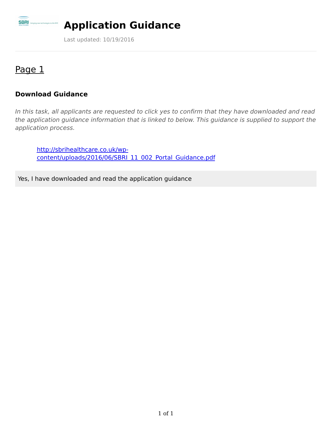

# **Application Guidance**

Last updated: 10/19/2016

## Page 1

#### **Download Guidance**

to the NHS

In this task, all applicants are requested to click yes to confirm that they have downloaded and read the application guidance information that is linked to below. This guidance is supplied to support the application process.

http://sbrihealthcare.co.uk/wp[content/uploads/2016/06/SBRI\\_11\\_002\\_Portal\\_Guidance.pdf](http://sbrihealthcare.co.uk/wp-content/uploads/2016/06/SBRI_11_002_Portal_Guidance.pdf)

Yes, I have downloaded and read the application guidance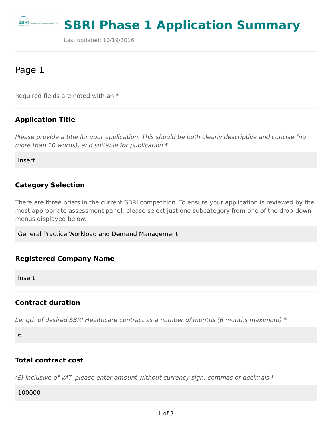

# **SBRI Phase 1 Application Summary**

Last updated: 10/19/2016

## Page 1

Required fields are noted with an \*

#### **Application Title**

Please provide a title for your application. This should be both clearly descriptive and concise (no more than 10 words), and suitable for publication  $*$ 

Insert

#### **Category Selection**

There are three briefs in the current SBRI competition. To ensure your application is reviewed by the most appropriate assessment panel, please select just one subcategory from one of the drop-down menus displayed below.

General Practice Workload and Demand Management

#### **Registered Company Name**

Insert

#### **Contract duration**

Length of desired SBRI Healthcare contract as a number of months (6 months maximum) \*

6

#### **Total contract cost**

( $E$ ) inclusive of VAT, please enter amount without currency sign, commas or decimals  $*$ 

100000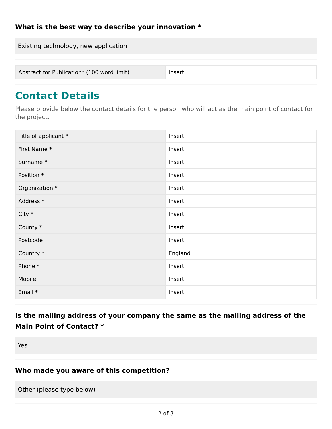#### **What is the best way to describe your innovation \***

Existing technology, new application Abstract for Publication\* (100 word limit) lnsert

# **Contact Details**

Please provide below the contact details for the person who will act as the main point of contact for the project.

| Title of applicant * | Insert  |
|----------------------|---------|
| First Name *         | Insert  |
| Surname*             | Insert  |
| Position *           | Insert  |
| Organization *       | Insert  |
| Address *            | Insert  |
| $City *$             | Insert  |
| County *             | Insert  |
| Postcode             | Insert  |
| Country *            | England |
| Phone *              | Insert  |
| Mobile               | Insert  |
| Email *              | Insert  |

## **Is the mailing address of your company the same as the mailing address of the Main Point of Contact? \***

Yes

#### **Who made you aware of this competition?**

Other (please type below)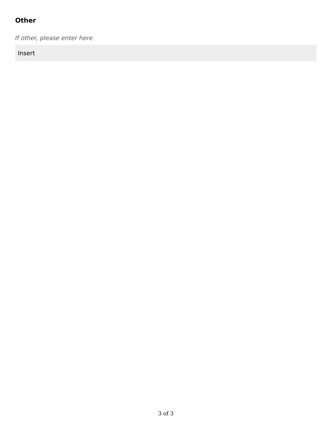## **Other**

If other, please enter here

Insert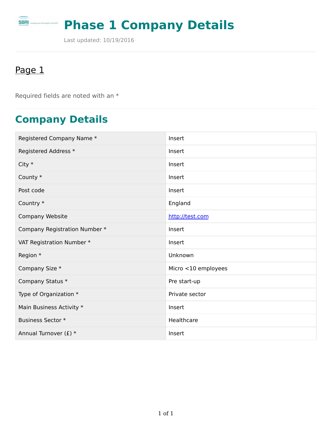# **Phase 1 Company Details**

Last updated: 10/19/2016

# Page 1

**SBRI** bringing new tech

logies to the NHS

Required fields are noted with an \*

# **Company Details**

| Registered Company Name *     | Insert              |
|-------------------------------|---------------------|
| Registered Address *          | Insert              |
| City $*$                      | Insert              |
| County *                      | Insert              |
| Post code                     | Insert              |
| Country *                     | England             |
| Company Website               | http://test.com     |
| Company Registration Number * | Insert              |
| VAT Registration Number *     | Insert              |
| Region *                      | Unknown             |
| Company Size *                | Micro <10 employees |
| Company Status *              | Pre start-up        |
| Type of Organization *        | Private sector      |
| Main Business Activity *      | Insert              |
| <b>Business Sector *</b>      | Healthcare          |
| Annual Turnover (£) *         | Insert              |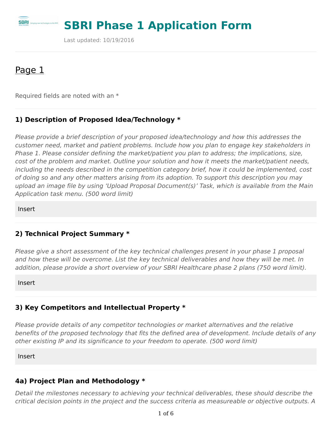

# **SBRI Phase 1 Application Form**

Last updated: 10/19/2016

## Page 1

Required fields are noted with an \*

#### **1) Description of Proposed Idea/Technology \***

Please provide a brief description of your proposed idea/technology and how this addresses the customer need, market and patient problems. Include how you plan to engage key stakeholders in Phase 1. Please consider defining the market/patient you plan to address; the implications, size, cost of the problem and market. Outline your solution and how it meets the market/patient needs, including the needs described in the competition category brief, how it could be implemented, cost of doing so and any other matters arising from its adoption. To support this description you may upload an image file by using 'Upload Proposal Document(s)' Task, which is available from the Main Application task menu. (500 word limit)

Insert

#### **2) Technical Project Summary \***

Please give a short assessment of the key technical challenges present in your phase 1 proposal and how these will be overcome. List the key technical deliverables and how they will be met. In addition, please provide a short overview of your SBRI Healthcare phase 2 plans (750 word limit).

Insert

#### **3) Key Competitors and Intellectual Property \***

Please provide details of any competitor technologies or market alternatives and the relative benefits of the proposed technology that fits the defined area of development. Include details of any other existing IP and its significance to your freedom to operate. (500 word limit)

Insert

## **4a) Project Plan and Methodology \***

Detail the milestones necessary to achieving your technical deliverables, these should describe the critical decision points in the project and the success criteria as measureable or objective outputs. A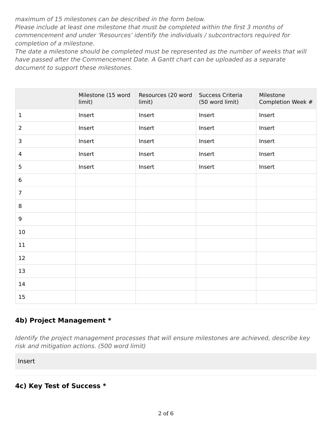maximum of 15 milestones can be described in the form below.

Please include at least one milestone that must be completed within the first 3 months of commencement and under 'Resources' identify the individuals / subcontractors required for completion of a milestone.

The date a milestone should be completed must be represented as the number of weeks that will have passed after the Commencement Date. A Gantt chart can be uploaded as a separate document to support these milestones.

|                | Milestone (15 word<br>limit) | Resources (20 word<br>limit) | Success Criteria<br>(50 word limit) | Milestone<br>Completion Week # |
|----------------|------------------------------|------------------------------|-------------------------------------|--------------------------------|
| $\mathbf 1$    | Insert                       | Insert                       | Insert                              | Insert                         |
| $\overline{2}$ | Insert                       | Insert                       | Insert                              | Insert                         |
| 3              | Insert                       | Insert                       | Insert                              | Insert                         |
| 4              | Insert                       | Insert                       | Insert                              | Insert                         |
| 5              | Insert                       | Insert                       | Insert                              | Insert                         |
| 6              |                              |                              |                                     |                                |
| $\overline{7}$ |                              |                              |                                     |                                |
| 8              |                              |                              |                                     |                                |
| 9              |                              |                              |                                     |                                |
| 10             |                              |                              |                                     |                                |
| 11             |                              |                              |                                     |                                |
| 12             |                              |                              |                                     |                                |
| 13             |                              |                              |                                     |                                |
| 14             |                              |                              |                                     |                                |
| 15             |                              |                              |                                     |                                |

#### **4b) Project Management \***

Identify the project management processes that will ensure milestones are achieved, describe key risk and mitigation actions. (500 word limit)

Insert

**4c) Key Test of Success \***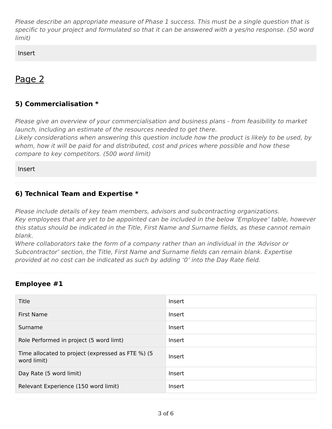Please describe an appropriate measure of Phase 1 success. This must be a single question that is specific to your project and formulated so that it can be answered with a yes/no response. (50 word limit)

Insert

## Page 2

### **5) Commercialisation \***

Please give an overview of your commercialisation and business plans - from feasibility to market launch, including an estimate of the resources needed to get there.

Likely considerations when answering this question include how the product is likely to be used, by whom, how it will be paid for and distributed, cost and prices where possible and how these compare to key competitors. (500 word limit)

Insert

#### **6) Technical Team and Expertise \***

Please include details of key team members, advisors and subcontracting organizations. Key employees that are yet to be appointed can be included in the below 'Employee' table, however this status should be indicated in the Title, First Name and Surname fields, as these cannot remain blank.

Where collaborators take the form of a company rather than an individual in the 'Advisor or Subcontractor' section, the Title, First Name and Surname fields can remain blank. Expertise provided at no cost can be indicated as such by adding '0' into the Day Rate field.

#### **Employee #1**

| <b>Title</b>                                                     | Insert |
|------------------------------------------------------------------|--------|
| <b>First Name</b>                                                | Insert |
| Surname                                                          | Insert |
| Role Performed in project (5 word limt)                          | Insert |
| Time allocated to project (expressed as FTE %) (5<br>word limit) | Insert |
| Day Rate (5 word limit)                                          | Insert |
| Relevant Experience (150 word limit)                             | Insert |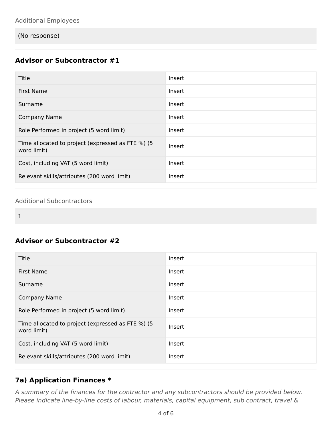(No response)

## **Advisor or Subcontractor #1**

| Title                                                            | Insert |
|------------------------------------------------------------------|--------|
| <b>First Name</b>                                                | Insert |
| Surname                                                          | Insert |
| Company Name                                                     | Insert |
| Role Performed in project (5 word limit)                         | Insert |
| Time allocated to project (expressed as FTE %) (5<br>word limit) | Insert |
| Cost, including VAT (5 word limit)                               | Insert |
| Relevant skills/attributes (200 word limit)                      | Insert |

#### Additional Subcontractors

1

### **Advisor or Subcontractor #2**

| Title                                                            | Insert |
|------------------------------------------------------------------|--------|
| <b>First Name</b>                                                | Insert |
| Surname                                                          | Insert |
| <b>Company Name</b>                                              | Insert |
| Role Performed in project (5 word limit)                         | Insert |
| Time allocated to project (expressed as FTE %) (5<br>word limit) | Insert |
| Cost, including VAT (5 word limit)                               | Insert |
| Relevant skills/attributes (200 word limit)                      | Insert |

#### **7a) Application Finances \***

A summary of the finances for the contractor and any subcontractors should be provided below. Please indicate line-by-line costs of labour, materials, capital equipment, sub contract, travel &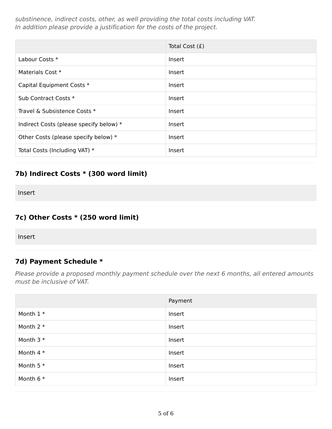substinence, indirect costs, other, as well providing the total costs including VAT. In addition please provide a justification for the costs of the project.

|                                         | Total Cost (£) |
|-----------------------------------------|----------------|
| Labour Costs *                          | Insert         |
| Materials Cost *                        | <b>Insert</b>  |
| Capital Equipment Costs *               | <b>Insert</b>  |
| Sub Contract Costs *                    | Insert         |
| Travel & Subsistence Costs *            | Insert         |
| Indirect Costs (please specify below) * | Insert         |
| Other Costs (please specify below) *    | <b>Insert</b>  |
| Total Costs (Including VAT) *           | Insert         |

## **7b) Indirect Costs \* (300 word limit)**

Insert

#### **7c) Other Costs \* (250 word limit)**

Insert

#### **7d) Payment Schedule \***

Please provide a proposed monthly payment schedule over the next 6 months, all entered amounts must be inclusive of VAT.

|             | Payment |
|-------------|---------|
| Month $1*$  | Insert  |
| Month $2 *$ | Insert  |
| Month $3*$  | Insert  |
| Month $4 *$ | Insert  |
| Month $5*$  | Insert  |
| Month $6*$  | Insert  |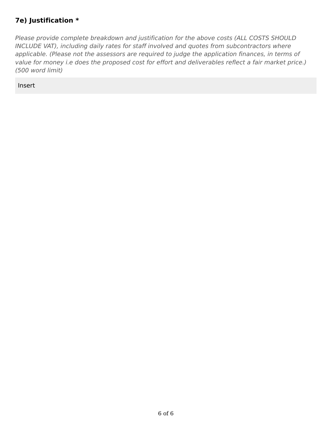### **7e) Justification \***

Please provide complete breakdown and justification for the above costs (ALL COSTS SHOULD INCLUDE VAT), including daily rates for staff involved and quotes from subcontractors where applicable. (Please not the assessors are required to judge the application finances, in terms of value for money i.e does the proposed cost for effort and deliverables reflect a fair market price.) (500 word limit)

Insert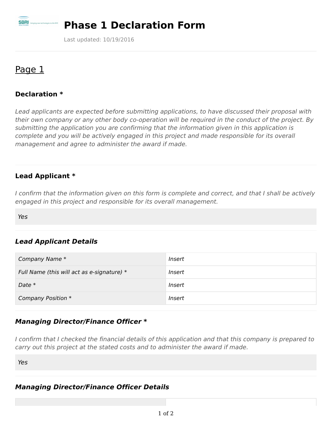

# **Phase 1 Declaration Form**

Last updated: 10/19/2016

## Page 1

#### **Declaration \***

Lead applicants are expected before submitting applications, to have discussed their proposal with their own company or any other body co-operation will be required in the conduct of the project. By submitting the application you are confirming that the information given in this application is complete and you will be actively engaged in this project and made responsible for its overall management and agree to administer the award if made.

#### **Lead Applicant \***

I confirm that the information given on this form is complete and correct, and that I shall be actively engaged in this project and responsible for its overall management.

Yes

### **Lead Applicant Details**

| Company Name *                             | Insert        |
|--------------------------------------------|---------------|
| Full Name (this will act as e-signature) * | <i>Insert</i> |
| Date $*$                                   | Insert        |
| Company Position *                         | Insert        |

#### **Managing Director/Finance Officer \***

I confirm that I checked the financial details of this application and that this company is prepared to carry out this project at the stated costs and to administer the award if made.

Yes

#### **Managing Director/Finance Officer Details**